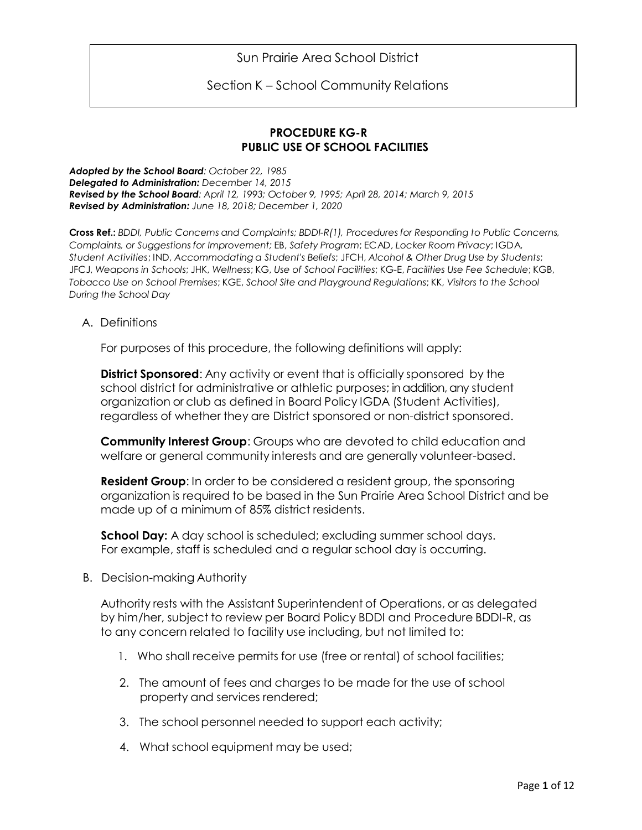Sun Prairie Area School District

Section K – School Community Relations

## **PROCEDURE KG-R PUBLIC USE OF SCHOOL FACILITIES**

*Adopted by the School Board: October 22, 1985 Delegated to Administration: December 14, 2015 Revised by the School Board: April 12, 1993; October 9, 1995; April 28, 2014; March 9, 2015 Revised by Administration: June 18, 2018; December 1, 2020*

**Cross Ref.:** *BDDI, Public Concerns and Complaints; BDDI-R(1), Procedures for Responding to Public Concerns, Complaints, or Suggestions for Improvement;* EB, *Safety Program*; ECAD, *Locker Room Privacy*; IGDA, *Student Activities*; IND, *Accommodating a Student's Beliefs*; JFCH, *Alcohol & Other Drug Use by Students*; JFCJ, *Weapons in Schools*; JHK, *Wellness*; KG, *Use of School Facilities*; KG-E, *Facilities Use Fee Schedule*; KGB, *Tobacco Use on School Premises*; KGE, *School Site and Playground Regulations*; KK, *Visitors to the School During the School Day*

A. Definitions

For purposes of this procedure, the following definitions will apply:

**District Sponsored**: Any activity or event that is officially sponsored by the school district for administrative or athletic purposes; in addition, any student organization or club as defined in Board Policy IGDA (Student Activities), regardless of whether they are District sponsored or non-district sponsored.

**Community Interest Group**: Groups who are devoted to child education and welfare or general community interests and are generally volunteer-based.

**Resident Group**: In order to be considered a resident group, the sponsoring organization is required to be based in the Sun Prairie Area School District and be made up of a minimum of 85% district residents.

**School Day:** A day school is scheduled; excluding summer school days. For example, staff is scheduled and a regular school day is occurring.

B. Decision-making Authority

Authority rests with the Assistant Superintendent of Operations, or as delegated by him/her, subject to review per Board Policy BDDI and Procedure BDDI-R, as to any concern related to facility use including, but not limited to:

- 1. Who shall receive permits for use (free or rental) of school facilities;
- 2. The amount of fees and charges to be made for the use of school property and services rendered;
- 3. The school personnel needed to support each activity;
- 4. What school equipment may be used;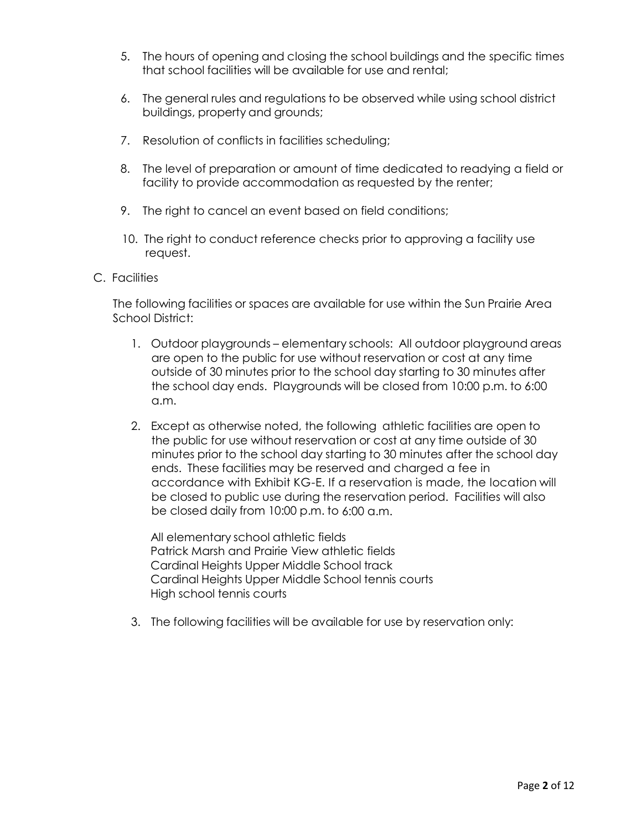- 5. The hours of opening and closing the school buildings and the specific times that school facilities will be available for use and rental;
- 6. The general rules and regulations to be observed while using school district buildings, property and grounds;
- 7. Resolution of conflicts in facilities scheduling;
- 8. The level of preparation or amount of time dedicated to readying a field or facility to provide accommodation as requested by the renter;
- 9. The right to cancel an event based on field conditions;
- 10. The right to conduct reference checks prior to approving a facility use request.
- C. Facilities

The following facilities or spaces are available for use within the Sun Prairie Area School District:

- 1. Outdoor playgrounds elementary schools: All outdoor playground areas are open to the public for use without reservation or cost at any time outside of 30 minutes prior to the school day starting to 30 minutes after the school day ends. Playgrounds will be closed from 10:00 p.m. to 6:00 a.m.
- 2. Except as otherwise noted, the following athletic facilities are open to the public for use without reservation or cost at any time outside of 30 minutes prior to the school day starting to 30 minutes after the school day ends. These facilities may be reserved and charged a fee in accordance with Exhibit KG-E. If a reservation is made, the location will be closed to public use during the reservation period. Facilities will also be closed daily from 10:00 p.m. to 6:00 a.m.

All elementary school athletic fields Patrick Marsh and Prairie View athletic fields Cardinal Heights Upper Middle School track Cardinal Heights Upper Middle School tennis courts High school tennis courts

3. The following facilities will be available for use by reservation only: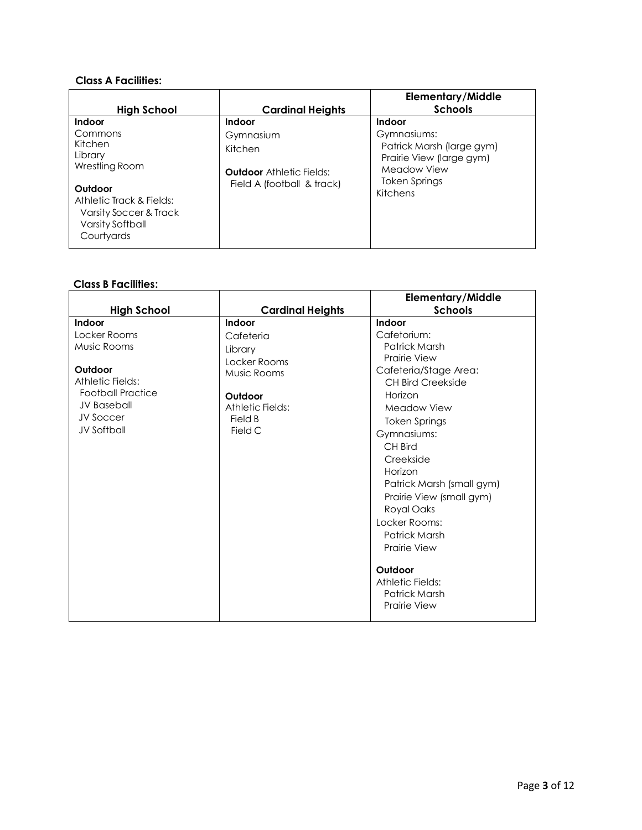### **Class A Facilities:**

| High School                                                                                                                                                  | <b>Cardinal Heights</b>                                                                         | <b>Elementary/Middle</b><br><b>Schools</b>                                                                                        |
|--------------------------------------------------------------------------------------------------------------------------------------------------------------|-------------------------------------------------------------------------------------------------|-----------------------------------------------------------------------------------------------------------------------------------|
| Indoor<br>Commons<br>Kitchen<br>Library<br>Wrestling Room<br>Outdoor<br>Athletic Track & Fields:<br>Varsity Soccer & Track<br>Varsity Softball<br>Courtyards | Indoor<br>Gymnasium<br>Kitchen<br><b>Outdoor</b> Athletic Fields:<br>Field A (football & track) | Indoor<br>Gymnasiums:<br>Patrick Marsh (large gym)<br>Prairie View (large gym)<br>Meadow View<br><b>Token Springs</b><br>Kitchens |

# **Class B Facilities:**

|                                                                                                                                                           |                                                                                                                    | <b>Elementary/Middle</b>                                                                                                                                                                                                                                                                                                                                                                                               |
|-----------------------------------------------------------------------------------------------------------------------------------------------------------|--------------------------------------------------------------------------------------------------------------------|------------------------------------------------------------------------------------------------------------------------------------------------------------------------------------------------------------------------------------------------------------------------------------------------------------------------------------------------------------------------------------------------------------------------|
| <b>High School</b>                                                                                                                                        | <b>Cardinal Heights</b>                                                                                            | <b>Schools</b>                                                                                                                                                                                                                                                                                                                                                                                                         |
| Indoor<br>Locker Rooms<br>Music Rooms<br>Outdoor<br>Athletic Fields:<br><b>Football Practice</b><br><b>JV Baseball</b><br>JV Soccer<br><b>JV Softball</b> | Indoor<br>Cafeteria<br>Library<br>Locker Rooms<br>Music Rooms<br>Outdoor<br>Athletic Fields:<br>Field B<br>Field C | Indoor<br>Cafetorium:<br>Patrick Marsh<br><b>Prairie View</b><br>Cafeteria/Stage Area:<br><b>CH Bird Creekside</b><br>Horizon<br>Meadow View<br><b>Token Springs</b><br>Gymnasiums:<br>CH Bird<br>Creekside<br>Horizon<br>Patrick Marsh (small gym)<br>Prairie View (small gym)<br>Royal Oaks<br>Locker Rooms:<br>Patrick Marsh<br><b>Prairie View</b><br>Outdoor<br>Athletic Fields:<br>Patrick Marsh<br>Prairie View |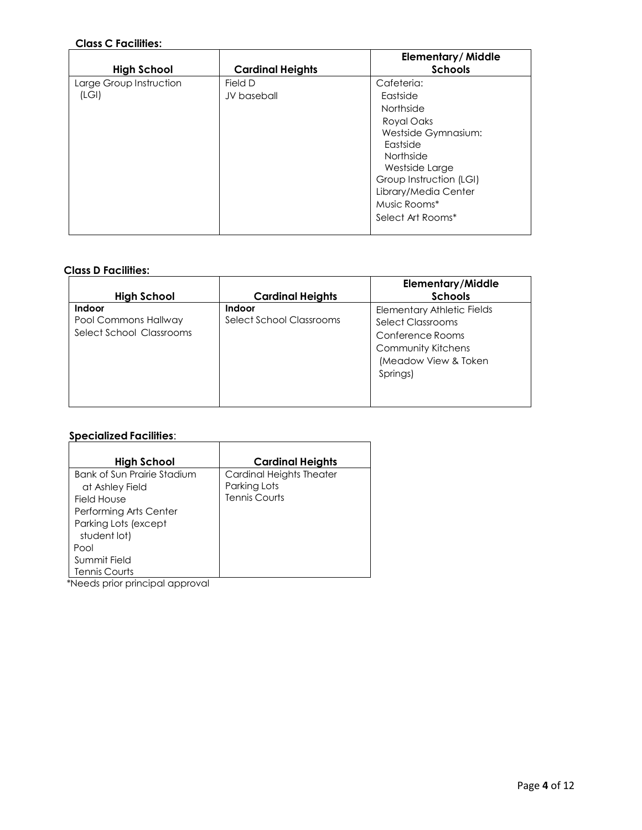# **Class C Facilities:**

|                         |                         | <b>Elementary/Middle</b> |
|-------------------------|-------------------------|--------------------------|
| <b>High School</b>      | <b>Cardinal Heights</b> | <b>Schools</b>           |
| Large Group Instruction | Field D                 | Cafeteria:               |
| (LGI)                   | JV baseball             | Eastside                 |
|                         |                         | Northside                |
|                         |                         | Royal Oaks               |
|                         |                         | Westside Gymnasium:      |
|                         |                         | Eastside                 |
|                         |                         | Northside                |
|                         |                         | Westside Large           |
|                         |                         | Group Instruction (LGI)  |
|                         |                         | Library/Media Center     |
|                         |                         | Music Rooms*             |
|                         |                         | Select Art Rooms*        |
|                         |                         |                          |

#### **Class D Facilities:**

| <b>High School</b>                                                | <b>Cardinal Heights</b>                   | <b>Elementary/Middle</b><br><b>Schools</b>                                                                                                  |
|-------------------------------------------------------------------|-------------------------------------------|---------------------------------------------------------------------------------------------------------------------------------------------|
| <b>Indoor</b><br>Pool Commons Hallway<br>Select School Classrooms | <b>Indoor</b><br>Select School Classrooms | <b>Elementary Athletic Fields</b><br>Select Classrooms<br>Conference Rooms<br><b>Community Kitchens</b><br>(Meadow View & Token<br>Springs) |

# **Specialized Facilities**:

| <b>High School</b>                   | <b>Cardinal Heights</b>  |  |
|--------------------------------------|--------------------------|--|
| Bank of Sun Prairie Stadium          | Cardinal Heights Theater |  |
| at Ashley Field                      | Parking Lots             |  |
| Field House                          | <b>Tennis Courts</b>     |  |
| Performing Arts Center               |                          |  |
| Parking Lots (except<br>student lot) |                          |  |
| Pool                                 |                          |  |
| Summit Field                         |                          |  |
| <b>Tennis Courts</b>                 |                          |  |

\*Needs prior principal approval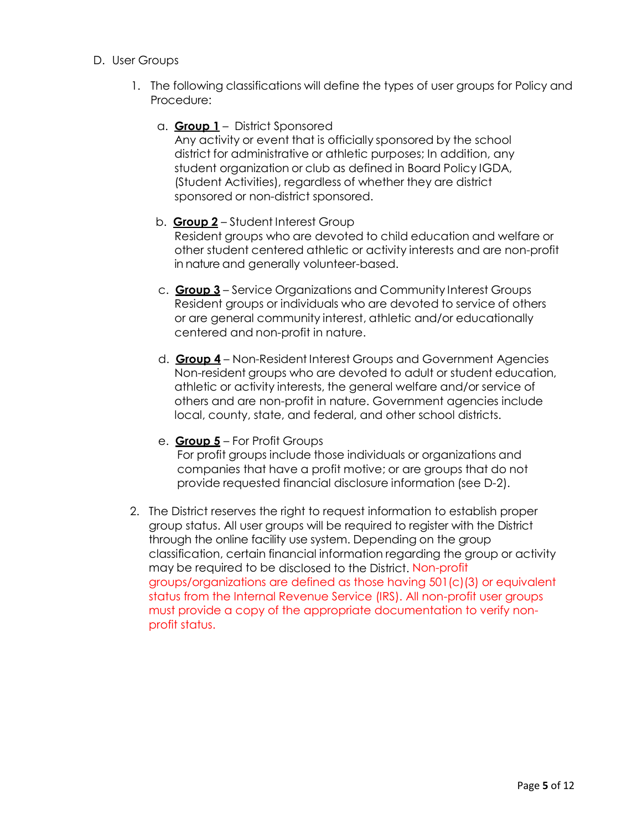- D. User Groups
	- 1. The following classifications will define the types of user groups for Policy and Procedure:
		- a. **Group 1** District Sponsored

Any activity or event that is officially sponsored by the school district for administrative or athletic purposes; In addition, any student organization or club as defined in Board Policy IGDA, (Student Activities), regardless of whether they are district sponsored or non-district sponsored.

### b. **Group 2** – Student Interest Group Resident groups who are devoted to child education and welfare or other student centered athletic or activity interests and are non-profit in nature and generally volunteer-based.

- c. **Group 3** Service Organizations and Community Interest Groups Resident groups or individuals who are devoted to service of others or are general community interest, athletic and/or educationally centered and non-profit in nature.
- d. **Group 4** Non-Resident Interest Groups and Government Agencies Non-resident groups who are devoted to adult or student education, athletic or activity interests, the general welfare and/or service of others and are non-profit in nature. Government agencies include local, county, state, and federal, and other school districts.

### e. **Group 5** – For Profit Groups

For profit groups include those individuals or organizations and companies that have a profit motive; or are groups that do not provide requested financial disclosure information (see D-2).

2. The District reserves the right to request information to establish proper group status. All user groups will be required to register with the District through the online facility use system. Depending on the group classification, certain financial information regarding the group or activity may be required to be disclosed to the District. Non-profit groups/organizations are defined as those having 501(c)(3) or equivalent status from the Internal Revenue Service (IRS). All non-profit user groups must provide a copy of the appropriate documentation to verify nonprofit status.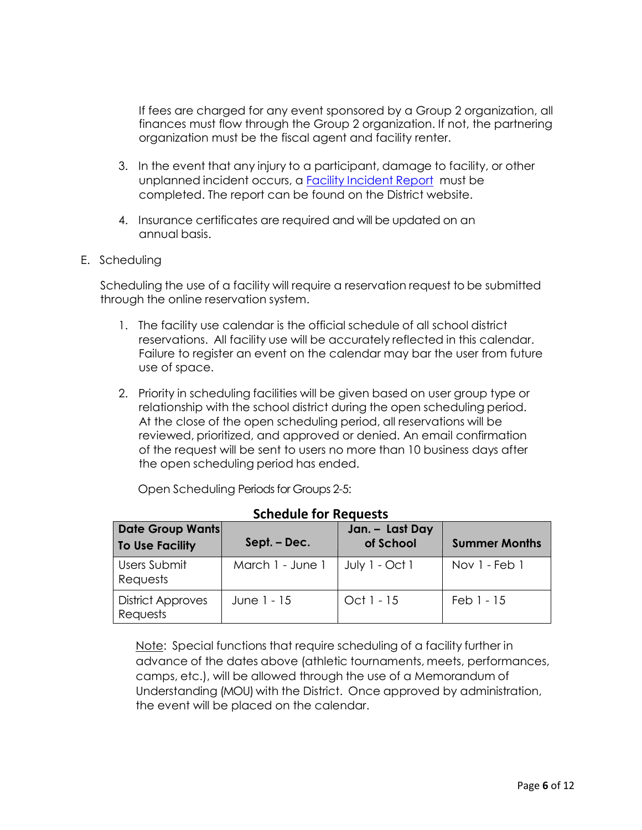If fees are charged for any event sponsored by a Group 2 organization, all finances must flow through the Group 2 organization. If not, the partnering organization must be the fiscal agent and facility renter.

- 3. In the event that any injury to a participant, damage to facility, or other unplanned incident occurs, a Facility [Incident](http://www.sunprairie.k12.wi.us/district/facility_incident_report.cfm) Report must be completed. The report can be found on the District website.
- 4. Insurance certificates are required and will be updated on an annual basis.
- E. Scheduling

Scheduling the use of a facility will require a reservation request to be submitted through the online reservation system.

- 1. The facility use calendar is the official schedule of all school district reservations. All facility use will be accurately reflected in this calendar. Failure to register an event on the calendar may bar the user from future use of space.
- 2. Priority in scheduling facilities will be given based on user group type or relationship with the school district during the open scheduling period. At the close of the open scheduling period, all reservations will be reviewed, prioritized, and approved or denied. An email confirmation of the request will be sent to users no more than 10 business days after the open scheduling period has ended.

| <b>Schedule for Requests</b>                      |                  |                              |                      |  |
|---------------------------------------------------|------------------|------------------------------|----------------------|--|
| <b>Date Group Wants</b><br><b>To Use Facility</b> | Sept. – Dec.     | Jan. - Last Day<br>of School | <b>Summer Months</b> |  |
| Users Submit<br>Requests                          | March 1 - June 1 | July 1 - Oct 1               | Nov 1 - Feb 1        |  |
| <b>District Approves</b><br>Requests              | June 1 - 15      | Oct 1 - 15                   | $Feb1 - 15$          |  |

Open Scheduling Periods for Groups 2-5:

Note: Special functions that require scheduling of a facility further in advance of the dates above (athletic tournaments, meets, performances, camps, etc.), will be allowed through the use of a Memorandum of Understanding (MOU) with the District. Once approved by administration, the event will be placed on the calendar.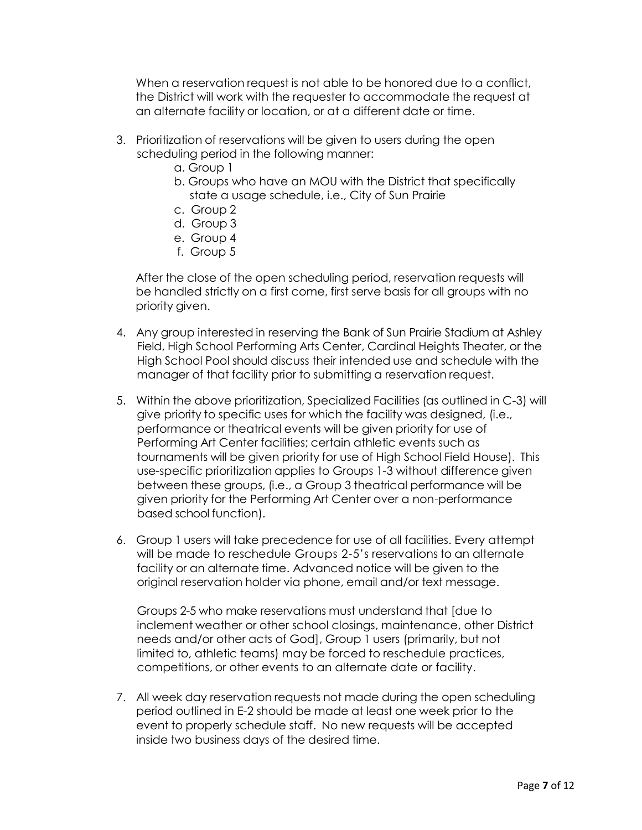When a reservation request is not able to be honored due to a conflict, the District will work with the requester to accommodate the request at an alternate facility or location, or at a different date or time.

- 3. Prioritization of reservations will be given to users during the open scheduling period in the following manner:
	- a. Group 1
	- b. Groups who have an MOU with the District that specifically state a usage schedule, i.e., City of Sun Prairie
	- c. Group 2
	- d. Group 3
	- e. Group 4
	- f. Group 5

After the close of the open scheduling period, reservation requests will be handled strictly on a first come, first serve basis for all groups with no priority given.

- 4. Any group interested in reserving the Bank of Sun Prairie Stadium at Ashley Field, High School Performing Arts Center, Cardinal Heights Theater, or the High School Pool should discuss their intended use and schedule with the manager of that facility prior to submitting a reservation request.
- 5. Within the above prioritization, Specialized Facilities (as outlined in C-3) will give priority to specific uses for which the facility was designed, (i.e., performance or theatrical events will be given priority for use of Performing Art Center facilities; certain athletic events such as tournaments will be given priority for use of High School Field House). This use-specific prioritization applies to Groups 1-3 without difference given between these groups, (i.e., a Group 3 theatrical performance will be given priority for the Performing Art Center over a non-performance based school function).
- 6. Group 1 users will take precedence for use of all facilities. Every attempt will be made to reschedule Groups 2-5's reservations to an alternate facility or an alternate time. Advanced notice will be given to the original reservation holder via phone, email and/or text message.

Groups 2-5 who make reservations must understand that [due to inclement weather or other school closings, maintenance, other District needs and/or other acts of God], Group 1 users (primarily, but not limited to, athletic teams) may be forced to reschedule practices, competitions, or other events to an alternate date or facility.

7. All week day reservation requests not made during the open scheduling period outlined in E-2 should be made at least one week prior to the event to properly schedule staff. No new requests will be accepted inside two business days of the desired time.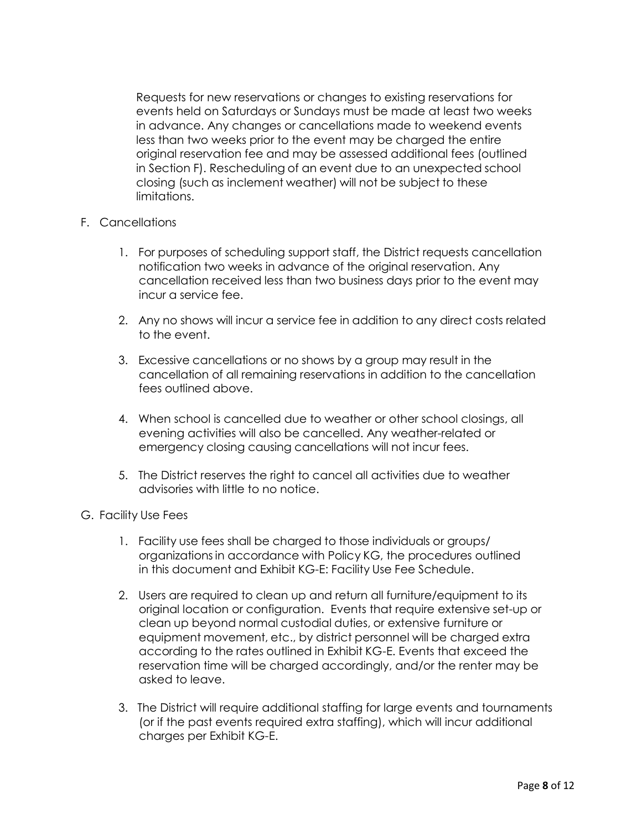Requests for new reservations or changes to existing reservations for events held on Saturdays or Sundays must be made at least two weeks in advance. Any changes or cancellations made to weekend events less than two weeks prior to the event may be charged the entire original reservation fee and may be assessed additional fees (outlined in Section F). Rescheduling of an event due to an unexpected school closing (such as inclement weather) will not be subject to these limitations.

## F. Cancellations

- 1. For purposes of scheduling support staff, the District requests cancellation notification two weeks in advance of the original reservation. Any cancellation received less than two business days prior to the event may incur a service fee.
- 2. Any no shows will incur a service fee in addition to any direct costs related to the event.
- 3. Excessive cancellations or no shows by a group may result in the cancellation of all remaining reservations in addition to the cancellation fees outlined above.
- 4. When school is cancelled due to weather or other school closings, all evening activities will also be cancelled. Any weather-related or emergency closing causing cancellations will not incur fees.
- 5. The District reserves the right to cancel all activities due to weather advisories with little to no notice.

### G. Facility Use Fees

- 1. Facility use fees shall be charged to those individuals or groups/ organizationsin accordance with Policy KG, the procedures outlined in this document and Exhibit KG-E: Facility Use Fee Schedule.
- 2. Users are required to clean up and return all furniture/equipment to its original location or configuration. Events that require extensive set-up or clean up beyond normal custodial duties, or extensive furniture or equipment movement, etc., by district personnel will be charged extra according to the rates outlined in Exhibit KG-E. Events that exceed the reservation time will be charged accordingly, and/or the renter may be asked to leave.
- 3. The District will require additional staffing for large events and tournaments (or if the past events required extra staffing), which will incur additional charges per Exhibit KG-E.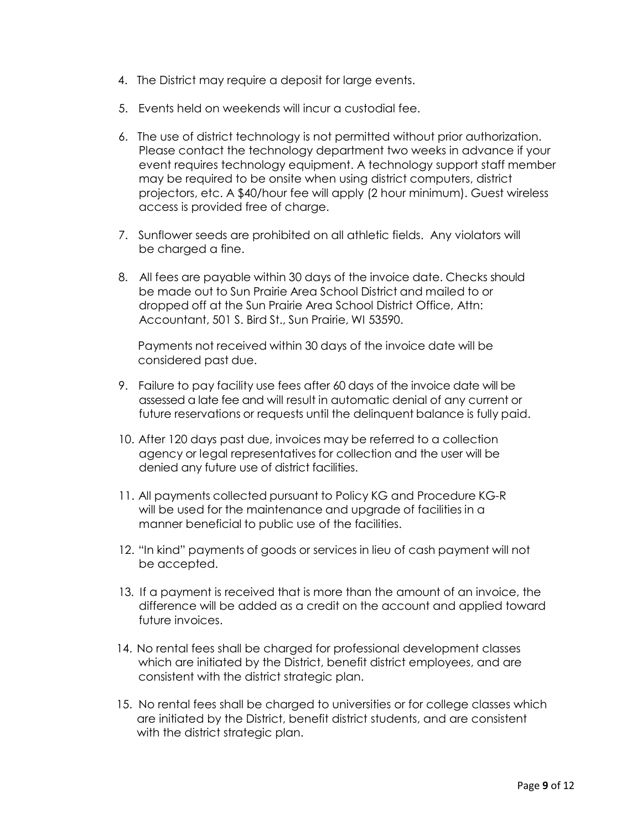- 4. The District may require a deposit for large events.
- 5. Events held on weekends will incur a custodial fee.
- 6. The use of district technology is not permitted without prior authorization. Please contact the technology department two weeks in advance if your event requires technology equipment. A technology support staff member may be required to be onsite when using district computers, district projectors, etc. A \$40/hour fee will apply (2 hour minimum). Guest wireless access is provided free of charge.
- 7. Sunflower seeds are prohibited on all athletic fields. Any violators will be charged a fine.
- 8. All fees are payable within 30 days of the invoice date. Checks should be made out to Sun Prairie Area School District and mailed to or dropped off at the Sun Prairie Area School District Office, Attn: Accountant, 501 S. Bird St., Sun Prairie, WI 53590.

Payments not received within 30 days of the invoice date will be considered past due.

- 9. Failure to pay facility use fees after 60 days of the invoice date will be assessed a late fee and will result in automatic denial of any current or future reservations or requests until the delinquent balance is fully paid.
- 10. After 120 days past due, invoices may be referred to a collection agency or legal representatives for collection and the user will be denied any future use of district facilities.
- 11. All payments collected pursuant to Policy KG and Procedure KG-R will be used for the maintenance and upgrade of facilities in a manner beneficial to public use of the facilities.
- 12. "In kind" payments of goods or services in lieu of cash payment will not be accepted.
- 13. If a payment is received that is more than the amount of an invoice, the difference will be added as a credit on the account and applied toward future invoices.
- 14. No rental fees shall be charged for professional development classes which are initiated by the District, benefit district employees, and are consistent with the district strategic plan.
- 15. No rental fees shall be charged to universities or for college classes which are initiated by the District, benefit district students, and are consistent with the district strategic plan.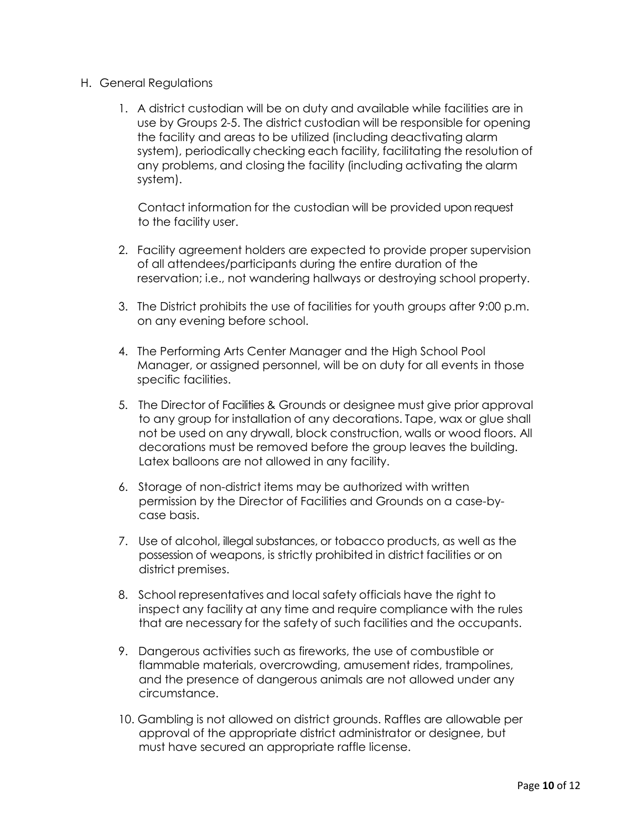- H. General Regulations
	- 1. A district custodian will be on duty and available while facilities are in use by Groups 2-5. The district custodian will be responsible for opening the facility and areas to be utilized (including deactivating alarm system), periodically checking each facility, facilitating the resolution of any problems, and closing the facility (including activating the alarm system).

Contact information for the custodian will be provided upon request to the facility user.

- 2. Facility agreement holders are expected to provide proper supervision of all attendees/participants during the entire duration of the reservation; i.e., not wandering hallways or destroying school property.
- 3. The District prohibits the use of facilities for youth groups after 9:00 p.m. on any evening before school.
- 4. The Performing Arts Center Manager and the High School Pool Manager, or assigned personnel, will be on duty for all events in those specific facilities.
- 5. The Director of Facilities & Grounds or designee must give prior approval to any group for installation of any decorations. Tape, wax or glue shall not be used on any drywall, block construction, walls or wood floors. All decorations must be removed before the group leaves the building. Latex balloons are not allowed in any facility.
- 6. Storage of non-district items may be authorized with written permission by the Director of Facilities and Grounds on a case-bycase basis.
- 7. Use of alcohol, illegal substances, or tobacco products, as well as the possession of weapons, is strictly prohibited in district facilities or on district premises.
- 8. School representatives and local safety officials have the right to inspect any facility at any time and require compliance with the rules that are necessary for the safety of such facilities and the occupants.
- 9. Dangerous activities such as fireworks, the use of combustible or flammable materials, overcrowding, amusement rides, trampolines, and the presence of dangerous animals are not allowed under any circumstance.
- 10. Gambling is not allowed on district grounds. Raffles are allowable per approval of the appropriate district administrator or designee, but must have secured an appropriate raffle license.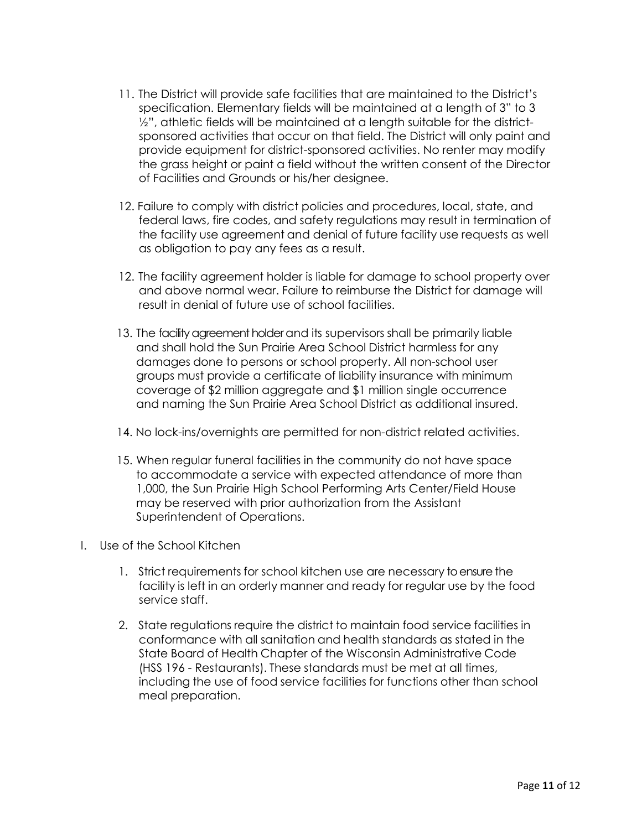- 11. The District will provide safe facilities that are maintained to the District's specification. Elementary fields will be maintained at a length of 3" to 3 1/2", athletic fields will be maintained at a length suitable for the districtsponsored activities that occur on that field. The District will only paint and provide equipment for district-sponsored activities. No renter may modify the grass height or paint a field without the written consent of the Director of Facilities and Grounds or his/her designee.
- 12. Failure to comply with district policies and procedures, local, state, and federal laws, fire codes, and safety regulations may result in termination of the facility use agreement and denial of future facility use requests as well as obligation to pay any fees as a result.
- 12. The facility agreement holder is liable for damage to school property over and above normal wear. Failure to reimburse the District for damage will result in denial of future use of school facilities.
- 13. The facility agreement holder and its supervisors shall be primarily liable and shall hold the Sun Prairie Area School District harmless for any damages done to persons or school property. All non-school user groups must provide a certificate of liability insurance with minimum coverage of \$2 million aggregate and \$1 million single occurrence and naming the Sun Prairie Area School District as additional insured.
- 14. No lock-ins/overnights are permitted for non-district related activities.
- 15. When regular funeral facilities in the community do not have space to accommodate a service with expected attendance of more than 1,000, the Sun Prairie High School Performing Arts Center/Field House may be reserved with prior authorization from the Assistant Superintendent of Operations.
- I. Use of the School Kitchen
	- 1. Strict requirements for school kitchen use are necessary toensure the facility is left in an orderly manner and ready for regular use by the food service staff.
	- 2. State regulations require the district to maintain food service facilities in conformance with all sanitation and health standards as stated in the State Board of Health Chapter of the Wisconsin Administrative Code (HSS 196 - Restaurants). These standards must be met at all times, including the use of food service facilities for functions other than school meal preparation.